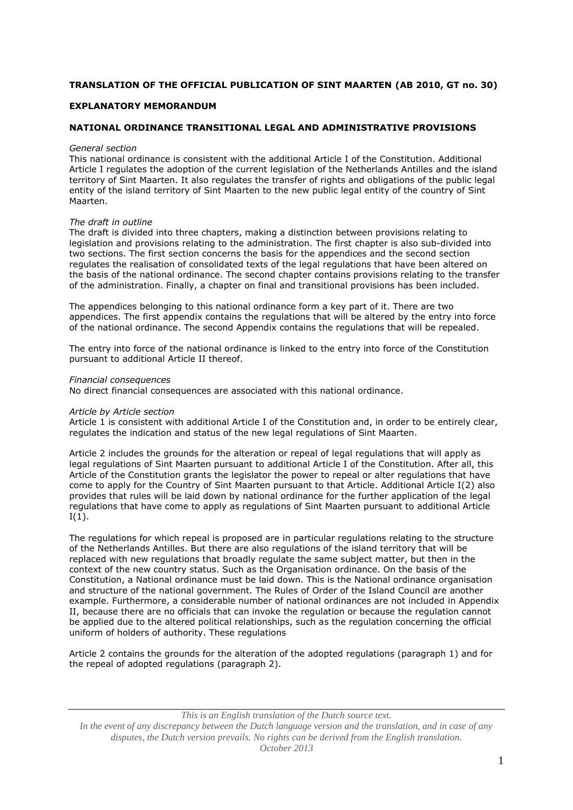# **TRANSLATION OF THE OFFICIAL PUBLICATION OF SINT MAARTEN (AB 2010, GT no. 30)**

# **EXPLANATORY MEMORANDUM**

# **NATIONAL ORDINANCE TRANSITIONAL LEGAL AND ADMINISTRATIVE PROVISIONS**

#### *General section*

This national ordinance is consistent with the additional Article I of the Constitution. Additional Article I regulates the adoption of the current legislation of the Netherlands Antilles and the island territory of Sint Maarten. It also regulates the transfer of rights and obligations of the public legal entity of the island territory of Sint Maarten to the new public legal entity of the country of Sint Maarten.

### *The draft in outline*

The draft is divided into three chapters, making a distinction between provisions relating to legislation and provisions relating to the administration. The first chapter is also sub-divided into two sections. The first section concerns the basis for the appendices and the second section regulates the realisation of consolidated texts of the legal regulations that have been altered on the basis of the national ordinance. The second chapter contains provisions relating to the transfer of the administration. Finally, a chapter on final and transitional provisions has been included.

The appendices belonging to this national ordinance form a key part of it. There are two appendices. The first appendix contains the regulations that will be altered by the entry into force of the national ordinance. The second Appendix contains the regulations that will be repealed.

The entry into force of the national ordinance is linked to the entry into force of the Constitution pursuant to additional Article II thereof.

*Financial consequences*

No direct financial consequences are associated with this national ordinance.

#### *Article by Article section*

Article 1 is consistent with additional Article I of the Constitution and, in order to be entirely clear, regulates the indication and status of the new legal regulations of Sint Maarten.

Article 2 includes the grounds for the alteration or repeal of legal regulations that will apply as legal regulations of Sint Maarten pursuant to additional Article I of the Constitution. After all, this Article of the Constitution grants the legislator the power to repeal or alter regulations that have come to apply for the Country of Sint Maarten pursuant to that Article. Additional Article I(2) also provides that rules will be laid down by national ordinance for the further application of the legal regulations that have come to apply as regulations of Sint Maarten pursuant to additional Article  $I(1)$ .

The regulations for which repeal is proposed are in particular regulations relating to the structure of the Netherlands Antilles. But there are also regulations of the island territory that will be replaced with new regulations that broadly regulate the same subject matter, but then in the context of the new country status. Such as the Organisation ordinance. On the basis of the Constitution, a National ordinance must be laid down. This is the National ordinance organisation and structure of the national government. The Rules of Order of the Island Council are another example. Furthermore, a considerable number of national ordinances are not included in Appendix II, because there are no officials that can invoke the regulation or because the regulation cannot be applied due to the altered political relationships, such as the regulation concerning the official uniform of holders of authority. These regulations

Article 2 contains the grounds for the alteration of the adopted regulations (paragraph 1) and for the repeal of adopted regulations (paragraph 2).

*This is an English translation of the Dutch source text.*

*In the event of any discrepancy between the Dutch language version and the translation, and in case of any disputes, the Dutch version prevails. No rights can be derived from the English translation. October 2013*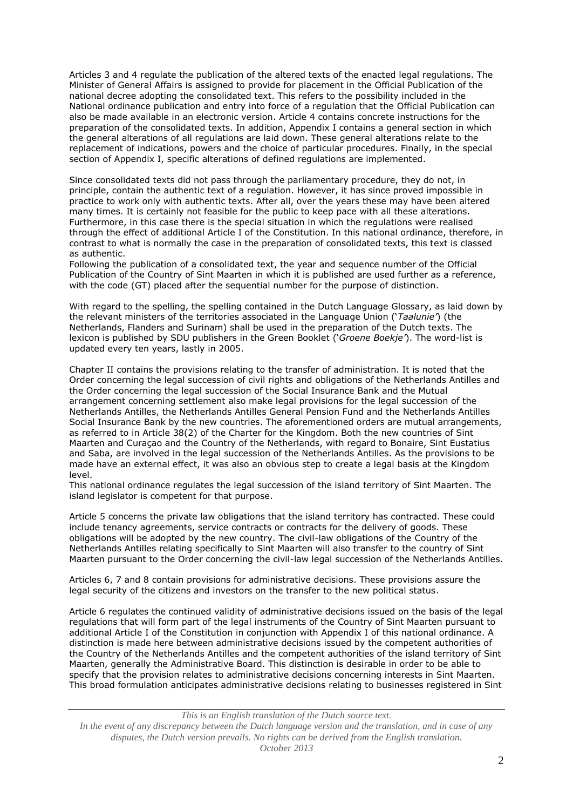Articles 3 and 4 regulate the publication of the altered texts of the enacted legal regulations. The Minister of General Affairs is assigned to provide for placement in the Official Publication of the national decree adopting the consolidated text. This refers to the possibility included in the National ordinance publication and entry into force of a regulation that the Official Publication can also be made available in an electronic version. Article 4 contains concrete instructions for the preparation of the consolidated texts. In addition, Appendix I contains a general section in which the general alterations of all regulations are laid down. These general alterations relate to the replacement of indications, powers and the choice of particular procedures. Finally, in the special section of Appendix I, specific alterations of defined regulations are implemented.

Since consolidated texts did not pass through the parliamentary procedure, they do not, in principle, contain the authentic text of a regulation. However, it has since proved impossible in practice to work only with authentic texts. After all, over the years these may have been altered many times. It is certainly not feasible for the public to keep pace with all these alterations. Furthermore, in this case there is the special situation in which the regulations were realised through the effect of additional Article I of the Constitution. In this national ordinance, therefore, in contrast to what is normally the case in the preparation of consolidated texts, this text is classed as authentic.

Following the publication of a consolidated text, the year and sequence number of the Official Publication of the Country of Sint Maarten in which it is published are used further as a reference, with the code (GT) placed after the sequential number for the purpose of distinction.

With regard to the spelling, the spelling contained in the Dutch Language Glossary, as laid down by the relevant ministers of the territories associated in the Language Union ('*Taalunie'*) (the Netherlands, Flanders and Surinam) shall be used in the preparation of the Dutch texts. The lexicon is published by SDU publishers in the Green Booklet ('*Groene Boekje'*). The word-list is updated every ten years, lastly in 2005.

Chapter II contains the provisions relating to the transfer of administration. It is noted that the Order concerning the legal succession of civil rights and obligations of the Netherlands Antilles and the Order concerning the legal succession of the Social Insurance Bank and the Mutual arrangement concerning settlement also make legal provisions for the legal succession of the Netherlands Antilles, the Netherlands Antilles General Pension Fund and the Netherlands Antilles Social Insurance Bank by the new countries. The aforementioned orders are mutual arrangements, as referred to in Article 38(2) of the Charter for the Kingdom. Both the new countries of Sint Maarten and Curaçao and the Country of the Netherlands, with regard to Bonaire, Sint Eustatius and Saba, are involved in the legal succession of the Netherlands Antilles. As the provisions to be made have an external effect, it was also an obvious step to create a legal basis at the Kingdom level.

This national ordinance regulates the legal succession of the island territory of Sint Maarten. The island legislator is competent for that purpose.

Article 5 concerns the private law obligations that the island territory has contracted. These could include tenancy agreements, service contracts or contracts for the delivery of goods. These obligations will be adopted by the new country. The civil-law obligations of the Country of the Netherlands Antilles relating specifically to Sint Maarten will also transfer to the country of Sint Maarten pursuant to the Order concerning the civil-law legal succession of the Netherlands Antilles.

Articles 6, 7 and 8 contain provisions for administrative decisions. These provisions assure the legal security of the citizens and investors on the transfer to the new political status.

Article 6 regulates the continued validity of administrative decisions issued on the basis of the legal regulations that will form part of the legal instruments of the Country of Sint Maarten pursuant to additional Article I of the Constitution in conjunction with Appendix I of this national ordinance. A distinction is made here between administrative decisions issued by the competent authorities of the Country of the Netherlands Antilles and the competent authorities of the island territory of Sint Maarten, generally the Administrative Board. This distinction is desirable in order to be able to specify that the provision relates to administrative decisions concerning interests in Sint Maarten. This broad formulation anticipates administrative decisions relating to businesses registered in Sint

*This is an English translation of the Dutch source text. In the event of any discrepancy between the Dutch language version and the translation, and in case of any disputes, the Dutch version prevails. No rights can be derived from the English translation. October 2013*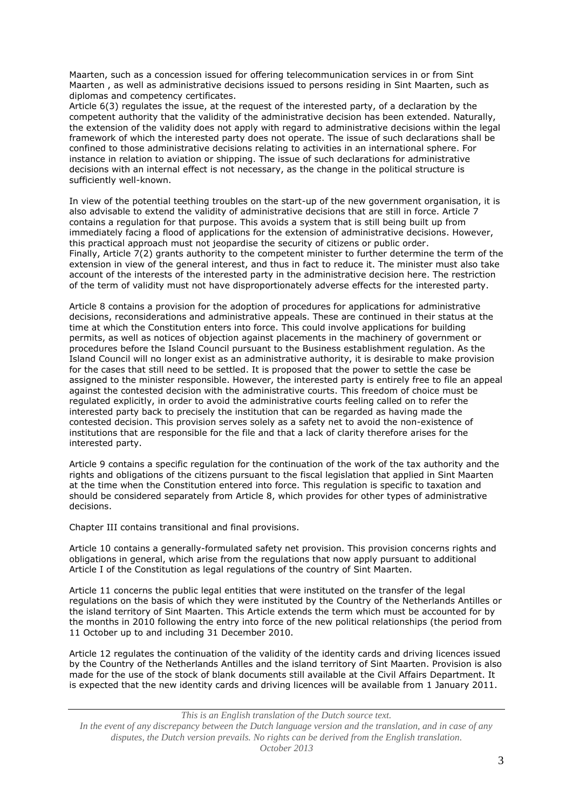Maarten, such as a concession issued for offering telecommunication services in or from Sint Maarten , as well as administrative decisions issued to persons residing in Sint Maarten, such as diplomas and competency certificates.

Article 6(3) regulates the issue, at the request of the interested party, of a declaration by the competent authority that the validity of the administrative decision has been extended. Naturally, the extension of the validity does not apply with regard to administrative decisions within the legal framework of which the interested party does not operate. The issue of such declarations shall be confined to those administrative decisions relating to activities in an international sphere. For instance in relation to aviation or shipping. The issue of such declarations for administrative decisions with an internal effect is not necessary, as the change in the political structure is sufficiently well-known.

In view of the potential teething troubles on the start-up of the new government organisation, it is also advisable to extend the validity of administrative decisions that are still in force. Article 7 contains a regulation for that purpose. This avoids a system that is still being built up from immediately facing a flood of applications for the extension of administrative decisions. However, this practical approach must not jeopardise the security of citizens or public order. Finally, Article 7(2) grants authority to the competent minister to further determine the term of the extension in view of the general interest, and thus in fact to reduce it. The minister must also take account of the interests of the interested party in the administrative decision here. The restriction of the term of validity must not have disproportionately adverse effects for the interested party.

Article 8 contains a provision for the adoption of procedures for applications for administrative decisions, reconsiderations and administrative appeals. These are continued in their status at the time at which the Constitution enters into force. This could involve applications for building permits, as well as notices of objection against placements in the machinery of government or procedures before the Island Council pursuant to the Business establishment regulation. As the Island Council will no longer exist as an administrative authority, it is desirable to make provision for the cases that still need to be settled. It is proposed that the power to settle the case be assigned to the minister responsible. However, the interested party is entirely free to file an appeal against the contested decision with the administrative courts. This freedom of choice must be regulated explicitly, in order to avoid the administrative courts feeling called on to refer the interested party back to precisely the institution that can be regarded as having made the contested decision. This provision serves solely as a safety net to avoid the non-existence of institutions that are responsible for the file and that a lack of clarity therefore arises for the interested party.

Article 9 contains a specific regulation for the continuation of the work of the tax authority and the rights and obligations of the citizens pursuant to the fiscal legislation that applied in Sint Maarten at the time when the Constitution entered into force. This regulation is specific to taxation and should be considered separately from Article 8, which provides for other types of administrative decisions.

Chapter III contains transitional and final provisions.

Article 10 contains a generally-formulated safety net provision. This provision concerns rights and obligations in general, which arise from the regulations that now apply pursuant to additional Article I of the Constitution as legal regulations of the country of Sint Maarten.

Article 11 concerns the public legal entities that were instituted on the transfer of the legal regulations on the basis of which they were instituted by the Country of the Netherlands Antilles or the island territory of Sint Maarten. This Article extends the term which must be accounted for by the months in 2010 following the entry into force of the new political relationships (the period from 11 October up to and including 31 December 2010.

Article 12 regulates the continuation of the validity of the identity cards and driving licences issued by the Country of the Netherlands Antilles and the island territory of Sint Maarten. Provision is also made for the use of the stock of blank documents still available at the Civil Affairs Department. It is expected that the new identity cards and driving licences will be available from 1 January 2011.

*This is an English translation of the Dutch source text.*

*In the event of any discrepancy between the Dutch language version and the translation, and in case of any disputes, the Dutch version prevails. No rights can be derived from the English translation. October 2013*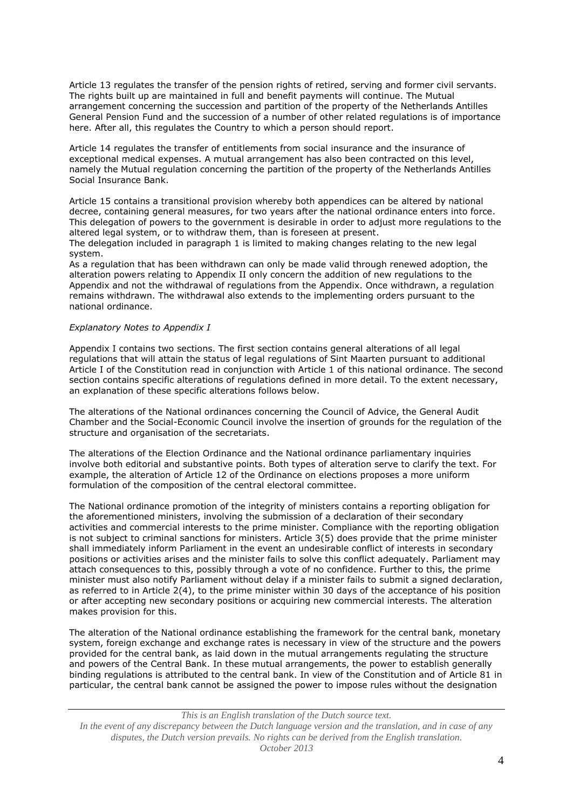Article 13 regulates the transfer of the pension rights of retired, serving and former civil servants. The rights built up are maintained in full and benefit payments will continue. The Mutual arrangement concerning the succession and partition of the property of the Netherlands Antilles General Pension Fund and the succession of a number of other related regulations is of importance here. After all, this regulates the Country to which a person should report.

Article 14 regulates the transfer of entitlements from social insurance and the insurance of exceptional medical expenses. A mutual arrangement has also been contracted on this level, namely the Mutual regulation concerning the partition of the property of the Netherlands Antilles Social Insurance Bank.

Article 15 contains a transitional provision whereby both appendices can be altered by national decree, containing general measures, for two years after the national ordinance enters into force. This delegation of powers to the government is desirable in order to adjust more regulations to the altered legal system, or to withdraw them, than is foreseen at present.

The delegation included in paragraph 1 is limited to making changes relating to the new legal system.

As a regulation that has been withdrawn can only be made valid through renewed adoption, the alteration powers relating to Appendix II only concern the addition of new regulations to the Appendix and not the withdrawal of regulations from the Appendix. Once withdrawn, a regulation remains withdrawn. The withdrawal also extends to the implementing orders pursuant to the national ordinance.

### *Explanatory Notes to Appendix I*

Appendix I contains two sections. The first section contains general alterations of all legal regulations that will attain the status of legal regulations of Sint Maarten pursuant to additional Article I of the Constitution read in conjunction with Article 1 of this national ordinance. The second section contains specific alterations of regulations defined in more detail. To the extent necessary, an explanation of these specific alterations follows below.

The alterations of the National ordinances concerning the Council of Advice, the General Audit Chamber and the Social-Economic Council involve the insertion of grounds for the regulation of the structure and organisation of the secretariats.

The alterations of the Election Ordinance and the National ordinance parliamentary inquiries involve both editorial and substantive points. Both types of alteration serve to clarify the text. For example, the alteration of Article 12 of the Ordinance on elections proposes a more uniform formulation of the composition of the central electoral committee.

The National ordinance promotion of the integrity of ministers contains a reporting obligation for the aforementioned ministers, involving the submission of a declaration of their secondary activities and commercial interests to the prime minister. Compliance with the reporting obligation is not subject to criminal sanctions for ministers. Article 3(5) does provide that the prime minister shall immediately inform Parliament in the event an undesirable conflict of interests in secondary positions or activities arises and the minister fails to solve this conflict adequately. Parliament may attach consequences to this, possibly through a vote of no confidence. Further to this, the prime minister must also notify Parliament without delay if a minister fails to submit a signed declaration, as referred to in Article 2(4), to the prime minister within 30 days of the acceptance of his position or after accepting new secondary positions or acquiring new commercial interests. The alteration makes provision for this.

The alteration of the National ordinance establishing the framework for the central bank, monetary system, foreign exchange and exchange rates is necessary in view of the structure and the powers provided for the central bank, as laid down in the mutual arrangements regulating the structure and powers of the Central Bank. In these mutual arrangements, the power to establish generally binding regulations is attributed to the central bank. In view of the Constitution and of Article 81 in particular, the central bank cannot be assigned the power to impose rules without the designation

*This is an English translation of the Dutch source text. In the event of any discrepancy between the Dutch language version and the translation, and in case of any disputes, the Dutch version prevails. No rights can be derived from the English translation. October 2013*